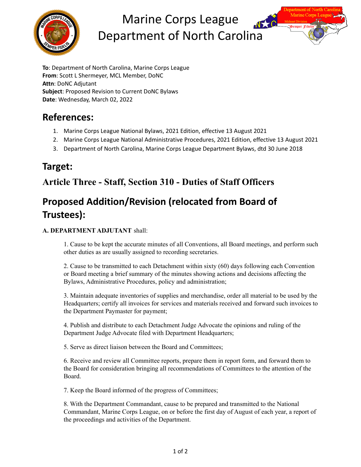

# Marine Corps League Department of North Carolina



# **References:**

- 1. Marine Corps League National Bylaws, 2021 Edition, effective 13 August 2021
- 2. Marine Corps League National Administrative Procedures, 2021 Edition, effective 13 August 2021
- 3. Department of North Carolina, Marine Corps League Department Bylaws, dtd 30 June 2018

# **Target:**

# **Article Three - Staff, Section 310 - Duties of Staff Officers**

# **Proposed Addition/Revision (relocated from Board of Trustees):**

#### **A. DEPARTMENT ADJUTANT** shall:

1. Cause to be kept the accurate minutes of all Conventions, all Board meetings, and perform such other duties as are usually assigned to recording secretaries.

2. Cause to be transmitted to each Detachment within sixty (60) days following each Convention or Board meeting a brief summary of the minutes showing actions and decisions affecting the Bylaws, Administrative Procedures, policy and administration;

3. Maintain adequate inventories of supplies and merchandise, order all material to be used by the Headquarters; certify all invoices for services and materials received and forward such invoices to the Department Paymaster for payment;

4. Publish and distribute to each Detachment Judge Advocate the opinions and ruling of the Department Judge Advocate filed with Department Headquarters;

5. Serve as direct liaison between the Board and Committees;

6. Receive and review all Committee reports, prepare them in report form, and forward them to the Board for consideration bringing all recommendations of Committees to the attention of the Board.

7. Keep the Board informed of the progress of Committees;

8. With the Department Commandant, cause to be prepared and transmitted to the National Commandant, Marine Corps League, on or before the first day of August of each year, a report of the proceedings and activities of the Department.